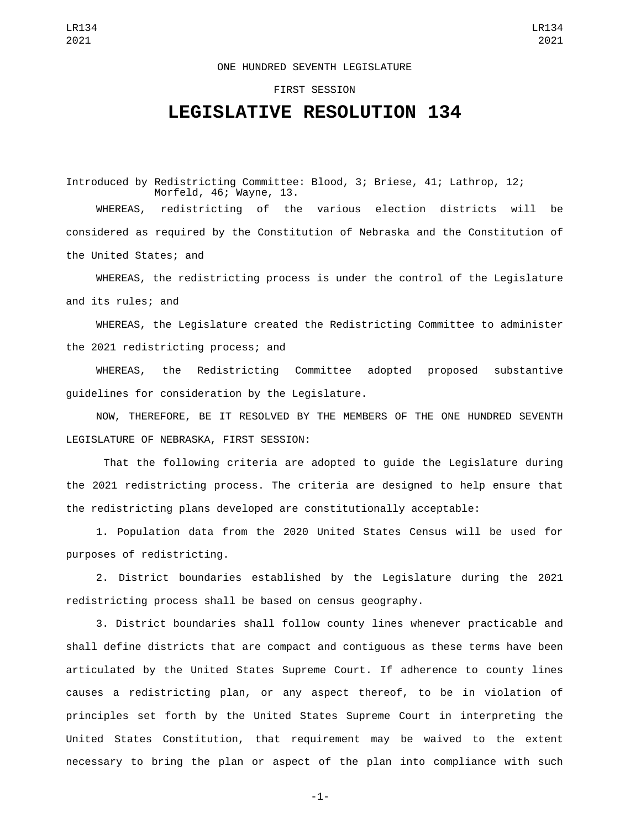## ONE HUNDRED SEVENTH LEGISLATURE

## FIRST SESSION

## **LEGISLATIVE RESOLUTION 134**

Introduced by Redistricting Committee: Blood, 3; Briese, 41; Lathrop, 12; Morfeld, 46; Wayne, 13.

WHEREAS, redistricting of the various election districts will be considered as required by the Constitution of Nebraska and the Constitution of the United States; and

WHEREAS, the redistricting process is under the control of the Legislature and its rules; and

WHEREAS, the Legislature created the Redistricting Committee to administer the 2021 redistricting process; and

WHEREAS, the Redistricting Committee adopted proposed substantive guidelines for consideration by the Legislature.

NOW, THEREFORE, BE IT RESOLVED BY THE MEMBERS OF THE ONE HUNDRED SEVENTH LEGISLATURE OF NEBRASKA, FIRST SESSION:

 That the following criteria are adopted to guide the Legislature during the 2021 redistricting process. The criteria are designed to help ensure that the redistricting plans developed are constitutionally acceptable:

1. Population data from the 2020 United States Census will be used for purposes of redistricting.

2. District boundaries established by the Legislature during the 2021 redistricting process shall be based on census geography.

3. District boundaries shall follow county lines whenever practicable and shall define districts that are compact and contiguous as these terms have been articulated by the United States Supreme Court. If adherence to county lines causes a redistricting plan, or any aspect thereof, to be in violation of principles set forth by the United States Supreme Court in interpreting the United States Constitution, that requirement may be waived to the extent necessary to bring the plan or aspect of the plan into compliance with such

-1-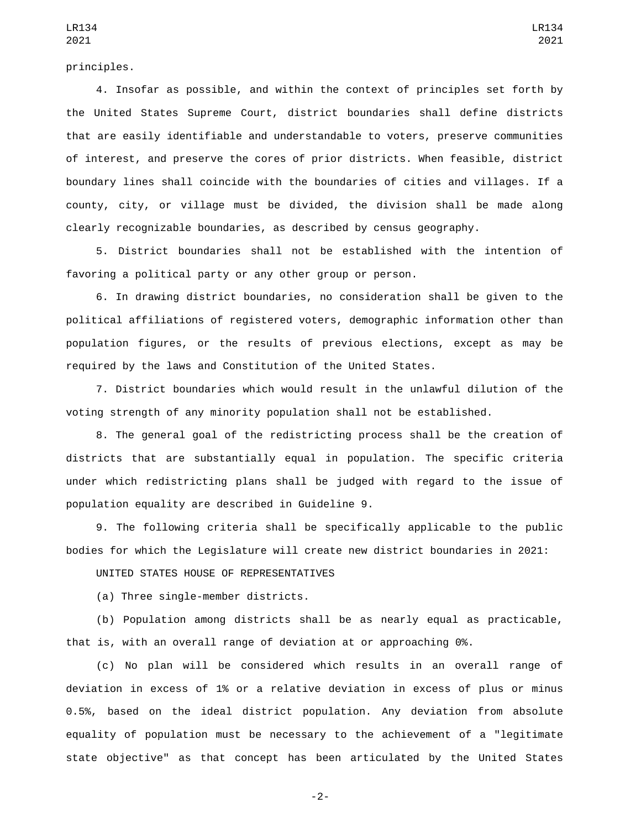principles.

4. Insofar as possible, and within the context of principles set forth by the United States Supreme Court, district boundaries shall define districts that are easily identifiable and understandable to voters, preserve communities of interest, and preserve the cores of prior districts. When feasible, district boundary lines shall coincide with the boundaries of cities and villages. If a county, city, or village must be divided, the division shall be made along clearly recognizable boundaries, as described by census geography.

5. District boundaries shall not be established with the intention of favoring a political party or any other group or person.

6. In drawing district boundaries, no consideration shall be given to the political affiliations of registered voters, demographic information other than population figures, or the results of previous elections, except as may be required by the laws and Constitution of the United States.

7. District boundaries which would result in the unlawful dilution of the voting strength of any minority population shall not be established.

8. The general goal of the redistricting process shall be the creation of districts that are substantially equal in population. The specific criteria under which redistricting plans shall be judged with regard to the issue of population equality are described in Guideline 9.

9. The following criteria shall be specifically applicable to the public bodies for which the Legislature will create new district boundaries in 2021:

UNITED STATES HOUSE OF REPRESENTATIVES

(a) Three single-member districts.

(b) Population among districts shall be as nearly equal as practicable, that is, with an overall range of deviation at or approaching 0%.

(c) No plan will be considered which results in an overall range of deviation in excess of 1% or a relative deviation in excess of plus or minus 0.5%, based on the ideal district population. Any deviation from absolute equality of population must be necessary to the achievement of a "legitimate state objective" as that concept has been articulated by the United States

-2-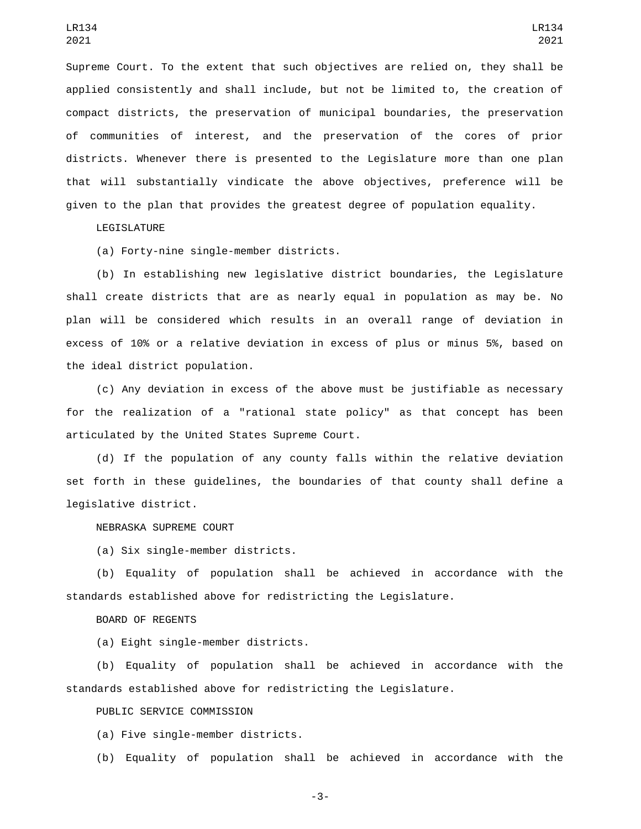Supreme Court. To the extent that such objectives are relied on, they shall be applied consistently and shall include, but not be limited to, the creation of compact districts, the preservation of municipal boundaries, the preservation of communities of interest, and the preservation of the cores of prior districts. Whenever there is presented to the Legislature more than one plan that will substantially vindicate the above objectives, preference will be given to the plan that provides the greatest degree of population equality.

LEGISLATURE

(a) Forty-nine single-member districts.

(b) In establishing new legislative district boundaries, the Legislature shall create districts that are as nearly equal in population as may be. No plan will be considered which results in an overall range of deviation in excess of 10% or a relative deviation in excess of plus or minus 5%, based on the ideal district population.

(c) Any deviation in excess of the above must be justifiable as necessary for the realization of a "rational state policy" as that concept has been articulated by the United States Supreme Court.

(d) If the population of any county falls within the relative deviation set forth in these guidelines, the boundaries of that county shall define a legislative district.

NEBRASKA SUPREME COURT

(a) Six single-member districts.

(b) Equality of population shall be achieved in accordance with the standards established above for redistricting the Legislature.

## BOARD OF REGENTS

(a) Eight single-member districts.

(b) Equality of population shall be achieved in accordance with the standards established above for redistricting the Legislature.

PUBLIC SERVICE COMMISSION

(a) Five single-member districts.

(b) Equality of population shall be achieved in accordance with the

-3-